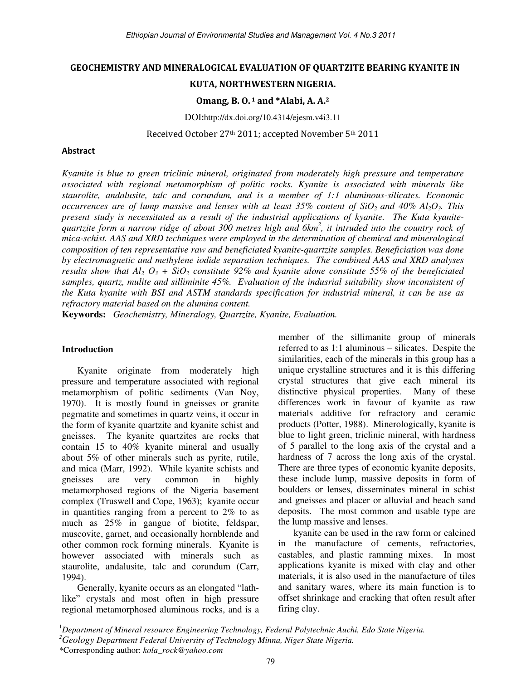### GEOCHEMISTRY AND MINERALOGICAL EVALUATION OF QUARTZITE BEARING KYANITE IN

## KUTA, NORTHWESTERN NIGERIA.

## Omang, B. O. 1 and \*Alabi, A. A.<sup>2</sup>

DOI:http://dx.doi.org/10.4314/ejesm.v4i3.11

Received October 27th 2011; accepted November 5th 2011

### Abstract

*Kyamite is blue to green triclinic mineral, originated from moderately high pressure and temperature associated with regional metamorphism of politic rocks. Kyanite is associated with minerals like staurolite, andalusite, talc and corundum, and is a member of 1:1 aluminous-silicates. Economic occurrences are of lump massive and lenses with at least 35% content of SiO2 and 40% Al2O3. This present study is necessitated as a result of the industrial applications of kyanite. The Kuta kyanitequartzite form a narrow ridge of about 300 metres high and 6km<sup>2</sup> , it intruded into the country rock of mica-schist. AAS and XRD techniques were employed in the determination of chemical and mineralogical composition of ten representative raw and beneficiated kyanite-quartzite samples. Beneficiation was done by electromagnetic and methylene iodide separation techniques. The combined AAS and XRD analyses results show that Al<sub>2</sub>*  $O_3$  +  $SiO_2$  constitute 92% and kyanite alone constitute 55% of the beneficiated *samples, quartz, mulite and silliminite 45%. Evaluation of the indusrial suitability show inconsistent of the Kuta kyanite with BSI and ASTM standards specification for industrial mineral, it can be use as refractory material based on the alumina content.*

**Keywords:** *Geochemistry, Mineralogy, Quartzite, Kyanite, Evaluation.* 

### **Introduction**

Kyanite originate from moderately high pressure and temperature associated with regional metamorphism of politic sediments (Van Noy, 1970). It is mostly found in gneisses or granite pegmatite and sometimes in quartz veins, it occur in the form of kyanite quartzite and kyanite schist and gneisses. The kyanite quartzites are rocks that contain 15 to 40% kyanite mineral and usually about 5% of other minerals such as pyrite, rutile, and mica (Marr, 1992). While kyanite schists and gneisses are very common in highly metamorphosed regions of the Nigeria basement complex (Truswell and Cope, 1963); kyanite occur in quantities ranging from a percent to 2% to as much as 25% in gangue of biotite, feldspar, muscovite, garnet, and occasionally hornblende and other common rock forming minerals. Kyanite is however associated with minerals such as staurolite, andalusite, talc and corundum (Carr, 1994).

Generally, kyanite occurs as an elongated "lathlike" crystals and most often in high pressure regional metamorphosed aluminous rocks, and is a member of the sillimanite group of minerals referred to as 1:1 aluminous – silicates. Despite the similarities, each of the minerals in this group has a unique crystalline structures and it is this differing crystal structures that give each mineral its distinctive physical properties. Many of these differences work in favour of kyanite as raw materials additive for refractory and ceramic products (Potter, 1988). Minerologically, kyanite is blue to light green, triclinic mineral, with hardness of 5 parallel to the long axis of the crystal and a hardness of 7 across the long axis of the crystal. There are three types of economic kyanite deposits, these include lump, massive deposits in form of boulders or lenses, disseminates mineral in schist and gneisses and placer or alluvial and beach sand deposits. The most common and usable type are the lump massive and lenses.

kyanite can be used in the raw form or calcined in the manufacture of cements, refractories, castables, and plastic ramming mixes. In most applications kyanite is mixed with clay and other materials, it is also used in the manufacture of tiles and sanitary wares, where its main function is to offset shrinkage and cracking that often result after firing clay.

<sup>1</sup>*Department of Mineral resource Engineering Technology, Federal Polytechnic Auchi, Edo State Nigeria.* 

*<sup>2</sup>Geology Department Federal University of Technology Minna, Niger State Nigeria.* 

<sup>\*</sup>Corresponding author: *kola\_rock@yahoo.com*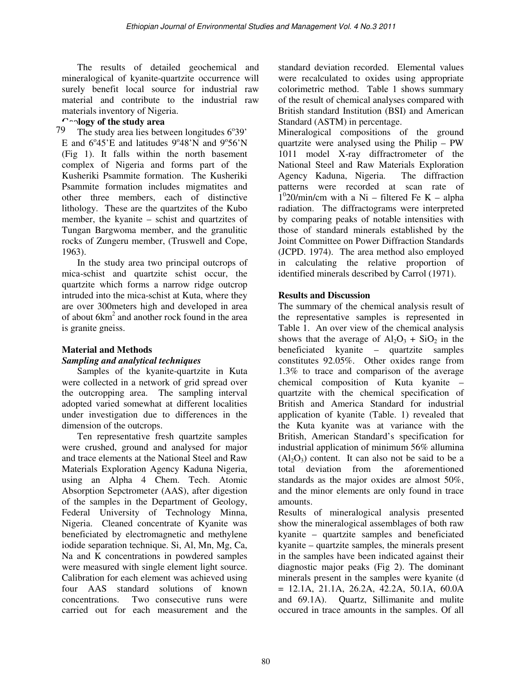The results of detailed geochemical and mineralogical of kyanite-quartzite occurrence will surely benefit local source for industrial raw material and contribute to the industrial raw materials inventory of Nigeria.

## **Geology of the study area**

The study area lies between longitudes 6°39' E and  $6^{\circ}45'E$  and latitudes  $9^{\circ}48'N$  and  $9^{\circ}56'N$ (Fig 1). It falls within the north basement complex of Nigeria and forms part of the Kusheriki Psammite formation. The Kusheriki Psammite formation includes migmatites and other three members, each of distinctive lithology. These are the quartzites of the Kubo member, the kyanite – schist and quartzites of Tungan Bargwoma member, and the granulitic rocks of Zungeru member, (Truswell and Cope, 1963). 79

In the study area two principal outcrops of mica-schist and quartzite schist occur, the quartzite which forms a narrow ridge outcrop intruded into the mica-schist at Kuta, where they are over 300meters high and developed in area of about 6km<sup>2</sup> and another rock found in the area is granite gneiss.

# **Material and Methods**

# *Sampling and analytical techniques*

Samples of the kyanite-quartzite in Kuta were collected in a network of grid spread over the outcropping area. The sampling interval adopted varied somewhat at different localities under investigation due to differences in the dimension of the outcrops.

Ten representative fresh quartzite samples were crushed, ground and analysed for major and trace elements at the National Steel and Raw Materials Exploration Agency Kaduna Nigeria, using an Alpha 4 Chem. Tech. Atomic Absorption Sepctrometer (AAS), after digestion of the samples in the Department of Geology, Federal University of Technology Minna, Nigeria. Cleaned concentrate of Kyanite was beneficiated by electromagnetic and methylene iodide separation technique. Si, Al, Mn, Mg, Ca, Na and K concentrations in powdered samples were measured with single element light source. Calibration for each element was achieved using four AAS standard solutions of known concentrations. Two consecutive runs were carried out for each measurement and the

standard deviation recorded. Elemental values were recalculated to oxides using appropriate colorimetric method. Table 1 shows summary of the result of chemical analyses compared with British standard Institution (BSI) and American Standard (ASTM) in percentage.

Mineralogical compositions of the ground quartzite were analysed using the Philip – PW 1011 model X-ray diffractrometer of the National Steel and Raw Materials Exploration Agency Kaduna, Nigeria. The diffraction patterns were recorded at scan rate of  $1^{\circ}$ 20/min/cm with a Ni – filtered Fe K – alpha radiation. The diffractograms were interpreted by comparing peaks of notable intensities with those of standard minerals established by the Joint Committee on Power Diffraction Standards (JCPD. 1974). The area method also employed in calculating the relative proportion of identified minerals described by Carrol (1971).

# **Results and Discussion**

The summary of the chemical analysis result of the representative samples is represented in Table 1. An over view of the chemical analysis shows that the average of  $Al_2O_3 + SiO_2$  in the beneficiated kyanite – quartzite samples constitutes 92.05%. Other oxides range from 1.3% to trace and comparison of the average chemical composition of Kuta kyanite – quartzite with the chemical specification of British and America Standard for industrial application of kyanite (Table. 1) revealed that the Kuta kyanite was at variance with the British, American Standard's specification for industrial application of minimum 56% allumina  $(Al<sub>2</sub>O<sub>3</sub>)$  content. It can also not be said to be a total deviation from the aforementioned standards as the major oxides are almost 50%, and the minor elements are only found in trace amounts.

Results of mineralogical analysis presented show the mineralogical assemblages of both raw kyanite – quartzite samples and beneficiated kyanite – quartzite samples, the minerals present in the samples have been indicated against their diagnostic major peaks (Fig 2). The dominant minerals present in the samples were kyanite (d  $= 12.1A, 21.1A, 26.2A, 42.2A, 50.1A, 60.0A$ and 69.1A). Quartz, Sillimanite and mulite occured in trace amounts in the samples. Of all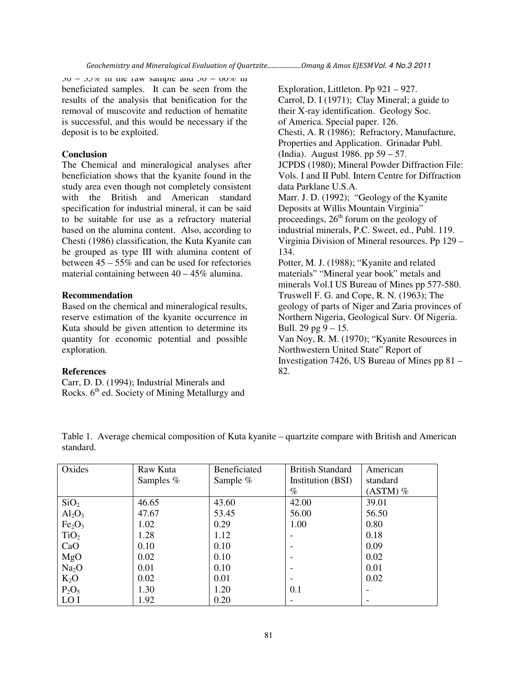$30 - 33\%$  in the raw sample and  $30 - 60\%$  in beneficiated samples. It can be seen from the results of the analysis that benification for the removal of muscovite and reduction of hematite is successful, and this would be necessary if the deposit is to be exploited.

### **Conclusion**

The Chemical and mineralogical analyses after beneficiation shows that the kyanite found in the study area even though not completely consistent with the British and American standard specification for industrial mineral, it can be said to be suitable for use as a refractory material based on the alumina content. Also, according to Chesti (1986) classification, the Kuta Kyanite can be grouped as type III with alumina content of between 45 – 55% and can be used for refectories material containing between 40 – 45% alumina.

## **Recommendation**

Based on the chemical and mineralogical results, reserve estimation of the kyanite occurrence in Kuta should be given attention to determine its quantity for economic potential and possible exploration.

#### **References**

Carr, D. D. (1994); Industrial Minerals and Rocks.  $6<sup>th</sup>$  ed. Society of Mining Metallurgy and

Exploration, Littleton. Pp 921 – 927. Carrol, D. I (1971); Clay Mineral; a guide to their X-ray identification. Geology Soc. of America. Special paper. 126. Chesti, A. R (1986); Refractory, Manufacture, Properties and Application. Grinadar Publ. (India). August 1986. pp 59 – 57. JCPDS (1980); Mineral Powder Diffraction File: Vols. I and II Publ. Intern Centre for Diffraction data Parklane U.S.A. Marr. J. D. (1992); "Geology of the Kyanite Deposits at Willis Mountain Virginia" proceedings,  $26<sup>th</sup>$  forum on the geology of industrial minerals, P.C. Sweet, ed., Publ. 119. Virginia Division of Mineral resources. Pp 129 – 134. Potter, M. J. (1988); "Kyanite and related materials" "Mineral year book" metals and minerals Vol.I US Bureau of Mines pp 577-580. Truswell F. G. and Cope, R. N. (1963); The geology of parts of Niger and Zaria provinces of Northern Nigeria, Geological Surv. Of Nigeria. Bull. 29 pg  $9 - 15$ . Van Noy, R. M. (1970); "Kyanite Resources in Northwestern United State" Report of Investigation 7426, US Bureau of Mines pp 81 – 82.

| $\sim$ $\sim$ |                                                                                                     |  |  | $\sim \cdot \cdot \cdot$ $\sim$ $\sim$ $\sim$ $\sim$ |  |  |  |  |
|---------------|-----------------------------------------------------------------------------------------------------|--|--|------------------------------------------------------|--|--|--|--|
| standard.     |                                                                                                     |  |  |                                                      |  |  |  |  |
|               |                                                                                                     |  |  |                                                      |  |  |  |  |
|               | Table 1. Average chemical composition of Kuta kyanite – quartzite compare with British and American |  |  |                                                      |  |  |  |  |

| Oxides                         | Raw Kuta  | Beneficiated | <b>British Standard</b> | American   |
|--------------------------------|-----------|--------------|-------------------------|------------|
|                                | Samples % | Sample $%$   | Institution (BSI)       | standard   |
|                                |           |              | $\%$                    | $(ASTM)$ % |
| SiO <sub>2</sub>               | 46.65     | 43.60        | 42.00                   | 39.01      |
| $Al_2O_3$                      | 47.67     | 53.45        | 56.00                   | 56.50      |
| Fe <sub>2</sub> O <sub>3</sub> | 1.02      | 0.29         | 1.00                    | 0.80       |
| TiO <sub>2</sub>               | 1.28      | 1.12         |                         | 0.18       |
| CaO                            | 0.10      | 0.10         |                         | 0.09       |
| MgO                            | 0.02      | 0.10         |                         | 0.02       |
| Na <sub>2</sub> O              | 0.01      | 0.10         |                         | 0.01       |
| $K_2O$                         | 0.02      | 0.01         |                         | 0.02       |
| $P_2O_5$                       | 1.30      | 1.20         | 0.1                     |            |
| LO I                           | 1.92      | 0.20         |                         |            |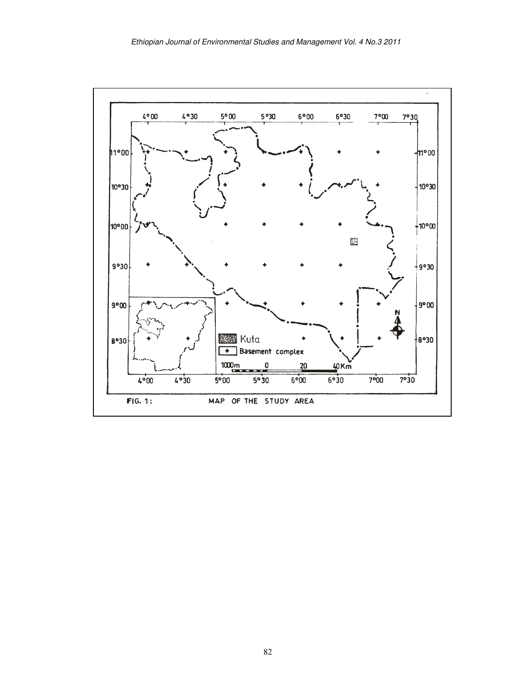